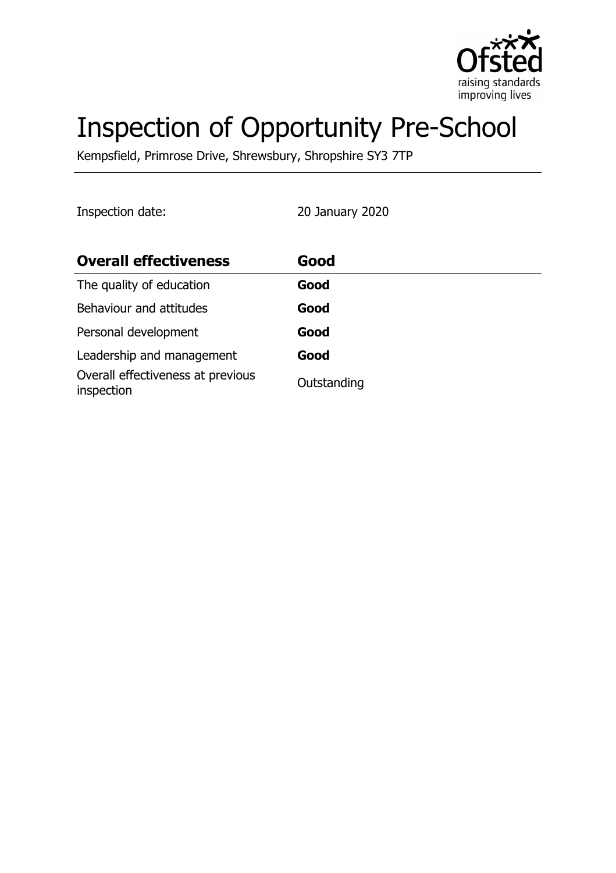

# Inspection of Opportunity Pre-School

Kempsfield, Primrose Drive, Shrewsbury, Shropshire SY3 7TP

Inspection date: 20 January 2020

| <b>Overall effectiveness</b>                    | Good        |
|-------------------------------------------------|-------------|
| The quality of education                        | Good        |
| Behaviour and attitudes                         | Good        |
| Personal development                            | Good        |
| Leadership and management                       | Good        |
| Overall effectiveness at previous<br>inspection | Outstanding |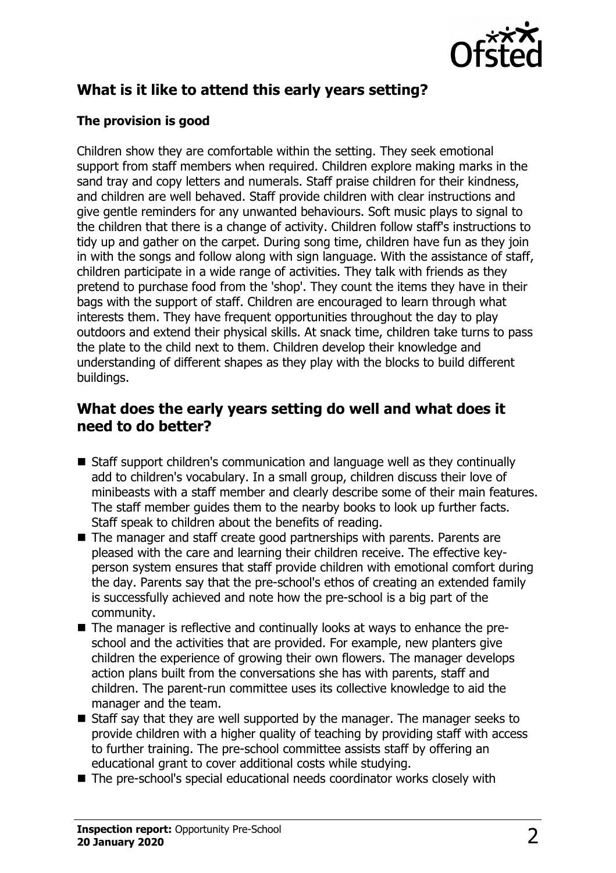

# **What is it like to attend this early years setting?**

### **The provision is good**

Children show they are comfortable within the setting. They seek emotional support from staff members when required. Children explore making marks in the sand tray and copy letters and numerals. Staff praise children for their kindness, and children are well behaved. Staff provide children with clear instructions and give gentle reminders for any unwanted behaviours. Soft music plays to signal to the children that there is a change of activity. Children follow staff's instructions to tidy up and gather on the carpet. During song time, children have fun as they join in with the songs and follow along with sign language. With the assistance of staff, children participate in a wide range of activities. They talk with friends as they pretend to purchase food from the 'shop'. They count the items they have in their bags with the support of staff. Children are encouraged to learn through what interests them. They have frequent opportunities throughout the day to play outdoors and extend their physical skills. At snack time, children take turns to pass the plate to the child next to them. Children develop their knowledge and understanding of different shapes as they play with the blocks to build different buildings.

## **What does the early years setting do well and what does it need to do better?**

- $\blacksquare$  Staff support children's communication and language well as they continually add to children's vocabulary. In a small group, children discuss their love of minibeasts with a staff member and clearly describe some of their main features. The staff member guides them to the nearby books to look up further facts. Staff speak to children about the benefits of reading.
- $\blacksquare$  The manager and staff create good partnerships with parents. Parents are pleased with the care and learning their children receive. The effective keyperson system ensures that staff provide children with emotional comfort during the day. Parents say that the pre-school's ethos of creating an extended family is successfully achieved and note how the pre-school is a big part of the community.
- The manager is reflective and continually looks at ways to enhance the preschool and the activities that are provided. For example, new planters give children the experience of growing their own flowers. The manager develops action plans built from the conversations she has with parents, staff and children. The parent-run committee uses its collective knowledge to aid the manager and the team.
- $\blacksquare$  Staff say that they are well supported by the manager. The manager seeks to provide children with a higher quality of teaching by providing staff with access to further training. The pre-school committee assists staff by offering an educational grant to cover additional costs while studying.
- $\blacksquare$  The pre-school's special educational needs coordinator works closely with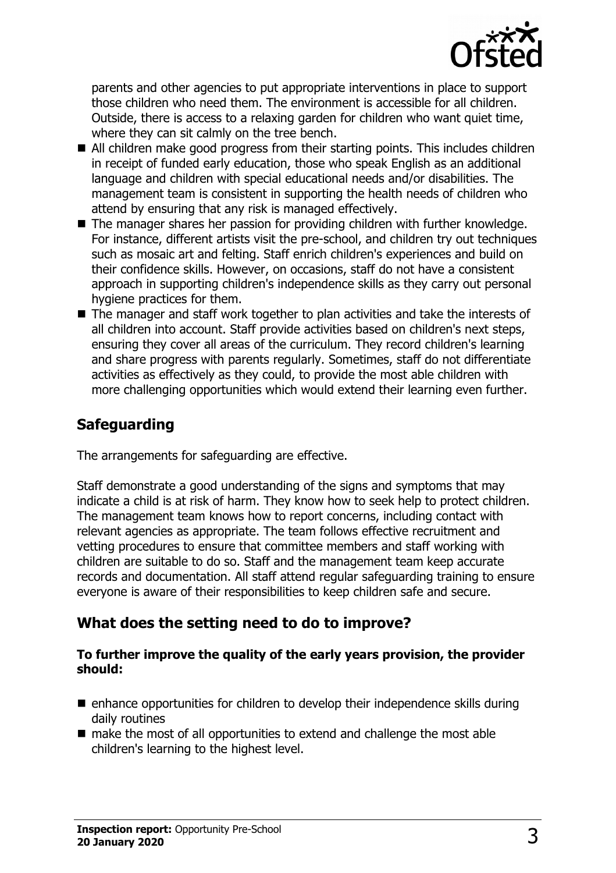

parents and other agencies to put appropriate interventions in place to support those children who need them. The environment is accessible for all children. Outside, there is access to a relaxing garden for children who want quiet time, where they can sit calmly on the tree bench.

- $\blacksquare$  All children make good progress from their starting points. This includes children in receipt of funded early education, those who speak English as an additional language and children with special educational needs and/or disabilities. The management team is consistent in supporting the health needs of children who attend by ensuring that any risk is managed effectively.
- $\blacksquare$  The manager shares her passion for providing children with further knowledge. For instance, different artists visit the pre-school, and children try out techniques such as mosaic art and felting. Staff enrich children's experiences and build on their confidence skills. However, on occasions, staff do not have a consistent approach in supporting children's independence skills as they carry out personal hygiene practices for them.
- $\blacksquare$  The manager and staff work together to plan activities and take the interests of all children into account. Staff provide activities based on children's next steps, ensuring they cover all areas of the curriculum. They record children's learning and share progress with parents regularly. Sometimes, staff do not differentiate activities as effectively as they could, to provide the most able children with more challenging opportunities which would extend their learning even further.

## **Safeguarding**

The arrangements for safeguarding are effective.

Staff demonstrate a good understanding of the signs and symptoms that may indicate a child is at risk of harm. They know how to seek help to protect children. The management team knows how to report concerns, including contact with relevant agencies as appropriate. The team follows effective recruitment and vetting procedures to ensure that committee members and staff working with children are suitable to do so. Staff and the management team keep accurate records and documentation. All staff attend regular safeguarding training to ensure everyone is aware of their responsibilities to keep children safe and secure.

## **What does the setting need to do to improve?**

#### **To further improve the quality of the early years provision, the provider should:**

- $\blacksquare$  enhance opportunities for children to develop their independence skills during daily routines
- $\blacksquare$  make the most of all opportunities to extend and challenge the most able children's learning to the highest level.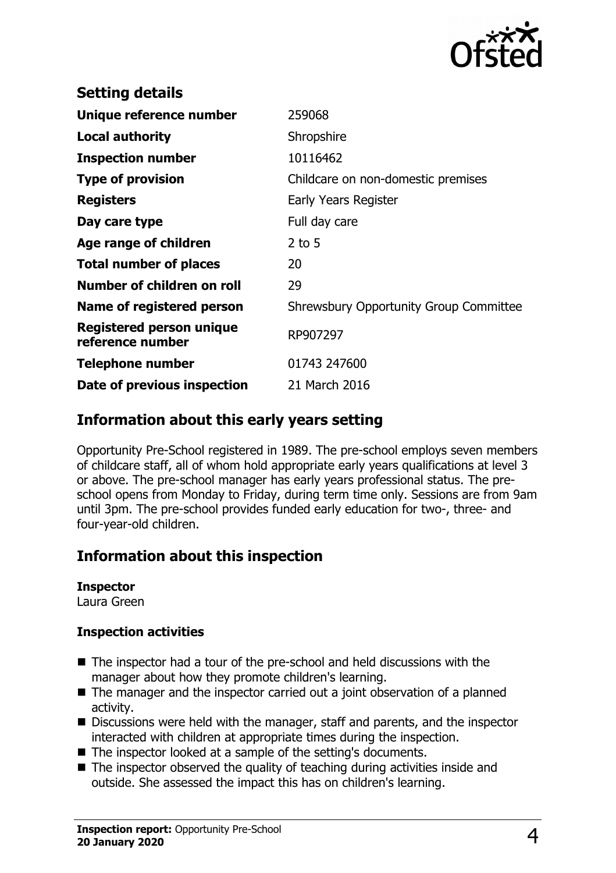

| 259068                                        |
|-----------------------------------------------|
| Shropshire                                    |
| 10116462                                      |
| Childcare on non-domestic premises            |
| Early Years Register                          |
| Full day care                                 |
| $2$ to 5                                      |
| 20                                            |
| 29                                            |
| <b>Shrewsbury Opportunity Group Committee</b> |
| RP907297                                      |
| 01743 247600                                  |
| 21 March 2016                                 |
|                                               |

## **Information about this early years setting**

Opportunity Pre-School registered in 1989. The pre-school employs seven members of childcare staff, all of whom hold appropriate early years qualifications at level 3 or above. The pre-school manager has early years professional status. The preschool opens from Monday to Friday, during term time only. Sessions are from 9am until 3pm. The pre-school provides funded early education for two-, three- and four-year-old children.

## **Information about this inspection**

#### **Inspector**

Laura Green

#### **Inspection activities**

- $\blacksquare$  The inspector had a tour of the pre-school and held discussions with the manager about how they promote children's learning.
- $\blacksquare$  The manager and the inspector carried out a joint observation of a planned activity.
- $\blacksquare$  Discussions were held with the manager, staff and parents, and the inspector interacted with children at appropriate times during the inspection.
- The inspector looked at a sample of the setting's documents.
- $\blacksquare$  The inspector observed the quality of teaching during activities inside and outside. She assessed the impact this has on children's learning.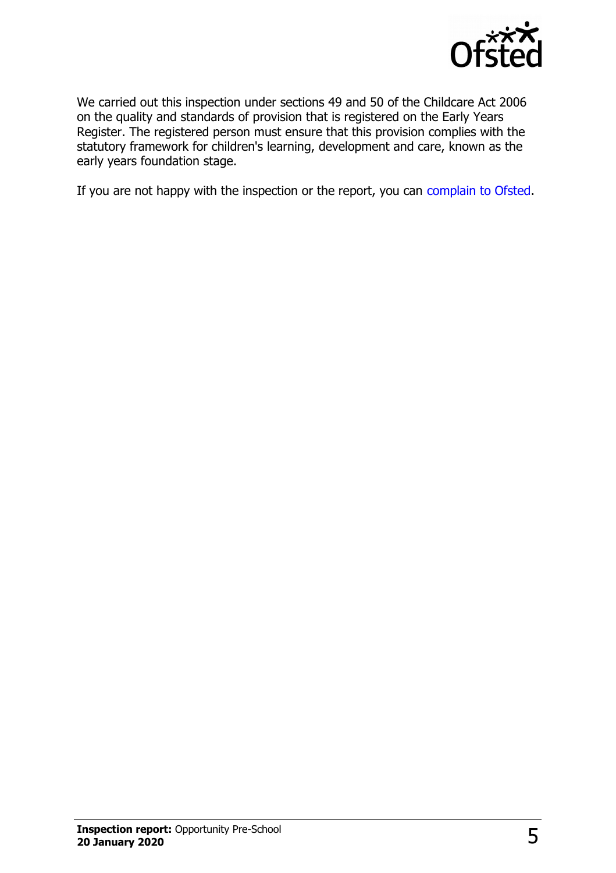

We carried out this inspection under sections 49 and 50 of the Childcare Act 2006 on the quality and standards of provision that is registered on the Early Years Register. The registered person must ensure that this provision complies with the statutory framework for children's learning, development and care, known as the early years foundation stage.

If you are not happy with the inspection or the report, you can [complain to Ofsted.](http://www.gov.uk/complain-ofsted-report)